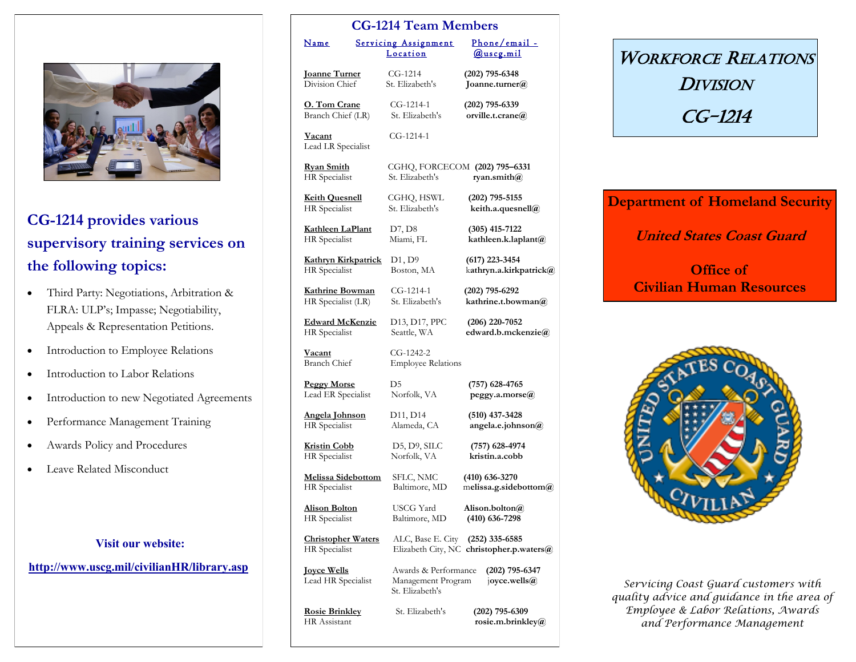

## **CG-1214 provides various supervisory training services on the following topics:**

- Third Party: Negotiations, Arbitration & FLRA: ULP's; Impasse; Negotiability, Appeals & Representation Petitions.
- Introduction to Employee Relations
- Introduction to Labor Relations
- Introduction to new Negotiated Agreements
- Performance Management Training
- Awards Policy and Procedures
- Leave Related Misconduct

|  | <b>Visit our website:</b> |  |
|--|---------------------------|--|
|  |                           |  |

#### **[http://www.uscg.mil/civilianHR/library.asp](http://www.uscg.mil/hq/cg1/cg121/er_lr/er_lr.asp)**

| <b>CG-1214 Team Members</b>                  |  |                                                               |                                                              |
|----------------------------------------------|--|---------------------------------------------------------------|--------------------------------------------------------------|
| <u>Name</u>                                  |  | <b>Servicing Assignment</b><br>Location                       | Phone/email -<br><u>@uscg.mil</u>                            |
| <b>Joanne Turner</b>                         |  | $CG-1214$                                                     | $(202)$ 795-6348                                             |
| Division Chief                               |  | St. Elizabeth's                                               | Joanne.turner@                                               |
| O. Tom Crane                                 |  | CG-1214-1                                                     | (202) 795-6339                                               |
| Branch Chief (LR)                            |  | St. Elizabeth's                                               | orville.t.crane@                                             |
| <b>Vacant</b><br>Lead LR Specialist          |  | $CG-1214-1$                                                   |                                                              |
| <u> Rvan Smith</u><br>HR Specialist          |  | CGHQ, FORCECOM (202) 795-6331<br>St. Elizabeth's              | ryan.smith $\omega$                                          |
| <b>Keith Quesnell</b>                        |  | CGHQ, HSWL                                                    | (202) 795-5155                                               |
| HR Specialist                                |  | St. Elizabeth's                                               | keith.a.quesnell@                                            |
| <b>Kathleen LaPlant</b>                      |  | D7, D8                                                        | (305) 415-7122                                               |
| <b>HR</b> Specialist                         |  | Miami, FL                                                     | kathleen.k.laplant@                                          |
| Kathryn Kirkpatrick                          |  | D1, D9                                                        | $(617)$ 223-3454                                             |
| <b>HR</b> Specialist                         |  | Boston, MA                                                    | kathryn.a.kirkpatrick@                                       |
| Kathrine Bowman                              |  | $CG-1214-1$                                                   | $(202)$ 795-6292                                             |
| HR Specialist (LR)                           |  | St. Elizabeth's                                               | kathrine.t.bowman@                                           |
| <b>Edward McKenzie</b>                       |  | D13, D17, PPC                                                 | (206) 220-7052                                               |
| HR Specialist                                |  | Seattle, WA                                                   | edward.b.mckenzie@                                           |
| <u>Vacant</u><br><b>Branch Chief</b>         |  | CG-1242-2<br><b>Employee Relations</b>                        |                                                              |
| <b>Peggy Morse</b>                           |  | D5                                                            | (757) 628-4765                                               |
| Lead ER Specialist                           |  | Norfolk, VA                                                   | peggy.a.morse@                                               |
| Angela Johnson                               |  | D <sub>11</sub> , D <sub>14</sub>                             | $(510)$ 437-3428                                             |
| HR Specialist                                |  | Alameda, CA                                                   | angela.e.johnson@                                            |
| <u> Kristin Cobb</u>                         |  | D5, D9, SILC                                                  | (757) 628-4974                                               |
| HR Specialist                                |  | Norfolk, VA                                                   | kristin.a.cobb                                               |
| <u> Melissa Sidebottom</u>                   |  | SFLC, NMC                                                     | $(410)$ 636-3270                                             |
| HR Specialist                                |  | Baltimore, MD                                                 | melissa.g.sidebottom@                                        |
| <u>Alison Bolton</u>                         |  | USCG Yard                                                     | Alison.bolton(a)                                             |
| HR Specialist                                |  | Baltimore, MD                                                 | $(410)$ 636-7298                                             |
| <b>Christopher Waters</b><br>HR Specialist   |  | ALC, Base E. City                                             | $(252)$ 335-6585<br>Elizabeth City, NC christopher.p.waters@ |
| <u>Joyce Wells</u><br>Lead HR Specialist     |  | Awards & Performance<br>Management Program<br>St. Elizabeth's | $(202)$ 795-6347<br>joyce.wells(a)                           |
| <b>Rosie Brinkley</b><br><b>HR</b> Assistant |  | St. Elizabeth's                                               | $(202)$ 795-6309<br>rosie.m.brinkley@                        |

# WORKFORCE RELATIONS **DIVISION** CG-1214

#### **Department of Homeland Security**

#### **United States Coast Guard**

### **Office of Civilian Human Resources**



*Servicing Coast Guard customers with quality advice and guidance in the area of Employee & Labor Relations, Awards and Performance Management*